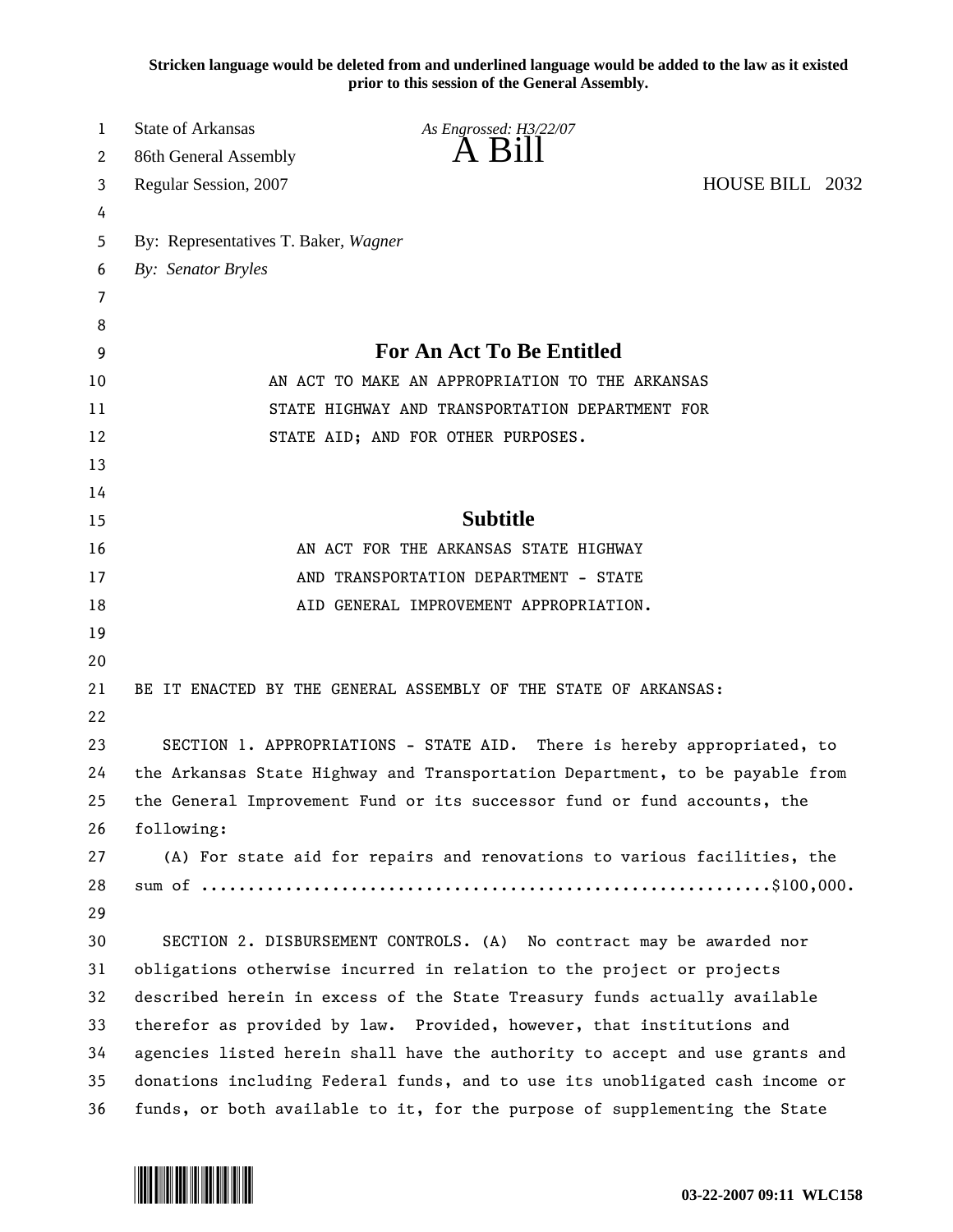**Stricken language would be deleted from and underlined language would be added to the law as it existed prior to this session of the General Assembly.**

| 1  | <b>State of Arkansas</b>              | As Engrossed: H3/22/07                                                       |                 |  |
|----|---------------------------------------|------------------------------------------------------------------------------|-----------------|--|
| 2  | 86th General Assembly                 | $A$ $B1II$                                                                   |                 |  |
| 3  | Regular Session, 2007                 |                                                                              | HOUSE BILL 2032 |  |
| 4  |                                       |                                                                              |                 |  |
| 5  | By: Representatives T. Baker, Wagner  |                                                                              |                 |  |
| 6  | By: Senator Bryles                    |                                                                              |                 |  |
| 7  |                                       |                                                                              |                 |  |
| 8  |                                       |                                                                              |                 |  |
| 9  | For An Act To Be Entitled             |                                                                              |                 |  |
| 10 |                                       | AN ACT TO MAKE AN APPROPRIATION TO THE ARKANSAS                              |                 |  |
| 11 |                                       | STATE HIGHWAY AND TRANSPORTATION DEPARTMENT FOR                              |                 |  |
| 12 | STATE AID; AND FOR OTHER PURPOSES.    |                                                                              |                 |  |
| 13 |                                       |                                                                              |                 |  |
| 14 |                                       |                                                                              |                 |  |
| 15 |                                       | <b>Subtitle</b>                                                              |                 |  |
| 16 | AN ACT FOR THE ARKANSAS STATE HIGHWAY |                                                                              |                 |  |
| 17 | AND TRANSPORTATION DEPARTMENT - STATE |                                                                              |                 |  |
| 18 |                                       | AID GENERAL IMPROVEMENT APPROPRIATION.                                       |                 |  |
| 19 |                                       |                                                                              |                 |  |
| 20 |                                       |                                                                              |                 |  |
| 21 |                                       | BE IT ENACTED BY THE GENERAL ASSEMBLY OF THE STATE OF ARKANSAS:              |                 |  |
| 22 |                                       |                                                                              |                 |  |
| 23 |                                       | SECTION 1. APPROPRIATIONS - STATE AID. There is hereby appropriated, to      |                 |  |
| 24 |                                       | the Arkansas State Highway and Transportation Department, to be payable from |                 |  |
| 25 |                                       | the General Improvement Fund or its successor fund or fund accounts, the     |                 |  |
| 26 | following:                            |                                                                              |                 |  |
| 27 |                                       | (A) For state aid for repairs and renovations to various facilities, the     |                 |  |
| 28 |                                       |                                                                              |                 |  |
| 29 |                                       |                                                                              |                 |  |
| 30 |                                       | SECTION 2. DISBURSEMENT CONTROLS. (A) No contract may be awarded nor         |                 |  |
| 31 |                                       | obligations otherwise incurred in relation to the project or projects        |                 |  |
| 32 |                                       | described herein in excess of the State Treasury funds actually available    |                 |  |
| 33 |                                       | therefor as provided by law. Provided, however, that institutions and        |                 |  |
| 34 |                                       | agencies listed herein shall have the authority to accept and use grants and |                 |  |
| 35 |                                       | donations including Federal funds, and to use its unobligated cash income or |                 |  |
| 36 |                                       | funds, or both available to it, for the purpose of supplementing the State   |                 |  |